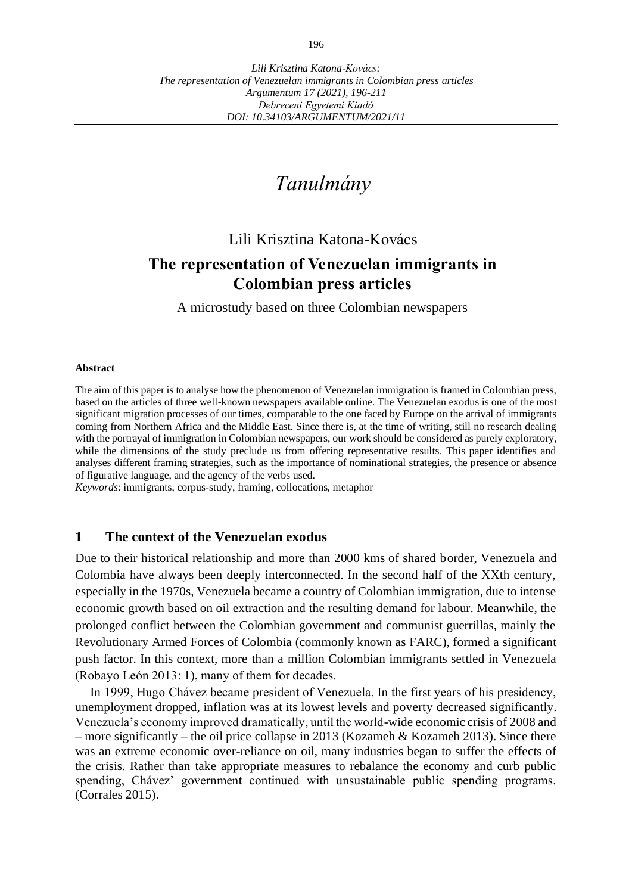# *Tanulmány*

## Lili Krisztina Katona-Kovács

## **The representation of Venezuelan immigrants in Colombian press articles**

A microstudy based on three Colombian newspapers

#### **Abstract**

The aim of this paper is to analyse how the phenomenon of Venezuelan immigration is framed in Colombian press, based on the articles of three well-known newspapers available online. The Venezuelan exodus is one of the most significant migration processes of our times, comparable to the one faced by Europe on the arrival of immigrants coming from Northern Africa and the Middle East. Since there is, at the time of writing, still no research dealing with the portrayal of immigration in Colombian newspapers, our work should be considered as purely exploratory, while the dimensions of the study preclude us from offering representative results. This paper identifies and analyses different framing strategies, such as the importance of nominational strategies, the presence or absence of figurative language, and the agency of the verbs used.

*Keywords*: immigrants, corpus-study, framing, collocations, metaphor

### **1 The context of the Venezuelan exodus**

Due to their historical relationship and more than 2000 kms of shared border, Venezuela and Colombia have always been deeply interconnected. In the second half of the XXth century, especially in the 1970s, Venezuela became a country of Colombian immigration, due to intense economic growth based on oil extraction and the resulting demand for labour. Meanwhile, the prolonged conflict between the Colombian government and communist guerrillas, mainly the Revolutionary Armed Forces of Colombia (commonly known as FARC), formed a significant push factor. In this context, more than a million Colombian immigrants settled in Venezuela (Robayo León 2013: 1), many of them for decades.

In 1999, Hugo Chávez became president of Venezuela. In the first years of his presidency, unemployment dropped, inflation was at its lowest levels and poverty decreased significantly. Venezuela's economy improved dramatically, until the world-wide economic crisis of 2008 and – more significantly – the oil price collapse in 2013 (Kozameh & Kozameh 2013). Since there was an extreme economic over-reliance on oil, many industries began to suffer the effects of the crisis. Rather than take appropriate measures to rebalance the economy and curb public spending, Chávez' government continued with unsustainable public spending programs. (Corrales 2015).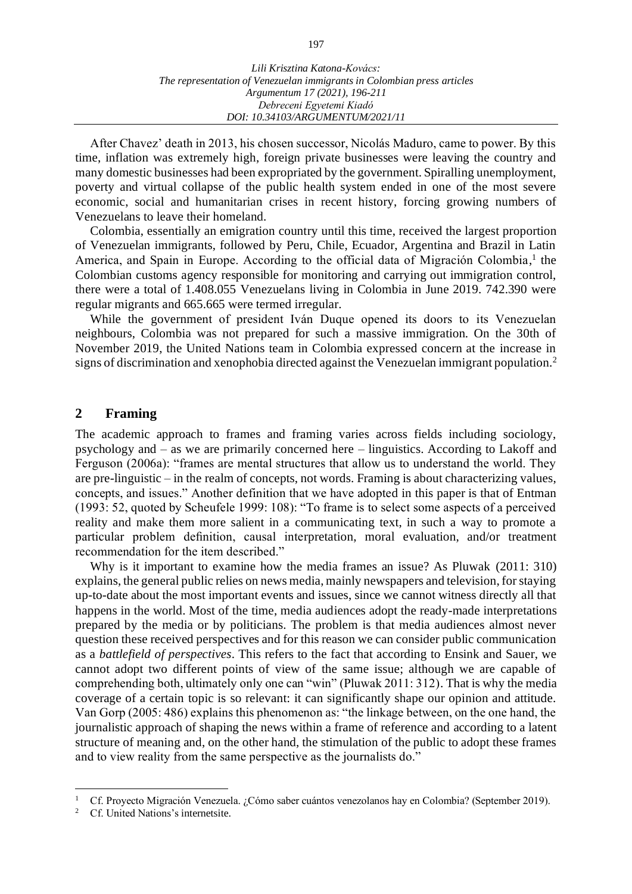After Chavez' death in 2013, his chosen successor, Nicolás Maduro, came to power. By this time, inflation was extremely high, foreign private businesses were leaving the country and many domestic businesses had been expropriated by the government. Spiralling unemployment, poverty and virtual collapse of the public health system ended in one of the most severe economic, social and humanitarian crises in recent history, forcing growing numbers of Venezuelans to leave their homeland.

Colombia, essentially an emigration country until this time, received the largest proportion of Venezuelan immigrants, followed by Peru, Chile, Ecuador, Argentina and Brazil in Latin America, and Spain in Europe. According to the official data of Migración Colombia, 1 the Colombian customs agency responsible for monitoring and carrying out immigration control, there were a total of 1.408.055 Venezuelans living in Colombia in June 2019. 742.390 were regular migrants and 665.665 were termed irregular.

While the government of president Iván Duque opened its doors to its Venezuelan neighbours, Colombia was not prepared for such a massive immigration. On the 30th of November 2019, the United Nations team in Colombia expressed concern at the increase in signs of discrimination and xenophobia directed against the Venezuelan immigrant population.<sup>2</sup>

## **2 Framing**

The academic approach to frames and framing varies across fields including sociology, psychology and – as we are primarily concerned here – linguistics. According to Lakoff and Ferguson (2006a): "frames are mental structures that allow us to understand the world. They are pre-linguistic – in the realm of concepts, not words. Framing is about characterizing values, concepts, and issues." Another definition that we have adopted in this paper is that of Entman (1993: 52, quoted by Scheufele 1999: 108): "To frame is to select some aspects of a perceived reality and make them more salient in a communicating text, in such a way to promote a particular problem definition, causal interpretation, moral evaluation, and/or treatment recommendation for the item described."

Why is it important to examine how the media frames an issue? As Pluwak (2011: 310) explains, the general public relies on news media, mainly newspapers and television, for staying up-to-date about the most important events and issues, since we cannot witness directly all that happens in the world. Most of the time, media audiences adopt the ready-made interpretations prepared by the media or by politicians. The problem is that media audiences almost never question these received perspectives and for this reason we can consider public communication as a *battlefield of perspectives*. This refers to the fact that according to Ensink and Sauer, we cannot adopt two different points of view of the same issue; although we are capable of comprehending both, ultimately only one can "win" (Pluwak 2011: 312). That is why the media coverage of a certain topic is so relevant: it can significantly shape our opinion and attitude. Van Gorp (2005: 486) explains this phenomenon as: "the linkage between, on the one hand, the journalistic approach of shaping the news within a frame of reference and according to a latent structure of meaning and, on the other hand, the stimulation of the public to adopt these frames and to view reality from the same perspective as the journalists do."

<sup>&</sup>lt;sup>1</sup> Cf. Proyecto Migración Venezuela. ¿Cómo saber cuántos venezolanos hay en Colombia? (September 2019).

Cf. United Nations's internetsite.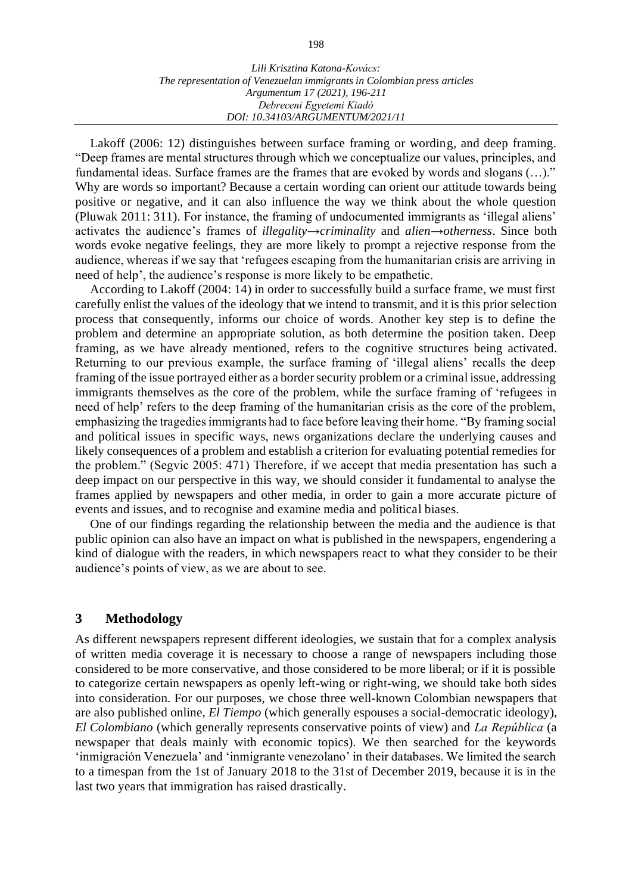Lakoff (2006: 12) distinguishes between surface framing or wording, and deep framing. "Deep frames are mental structures through which we conceptualize our values, principles, and fundamental ideas. Surface frames are the frames that are evoked by words and slogans (…)." Why are words so important? Because a certain wording can orient our attitude towards being positive or negative, and it can also influence the way we think about the whole question (Pluwak 2011: 311). For instance, the framing of undocumented immigrants as ʻillegal aliens' activates the audience's frames of *illegality*→*criminality* and *alien*→*otherness*. Since both words evoke negative feelings, they are more likely to prompt a rejective response from the audience, whereas if we say that ʻrefugees escaping from the humanitarian crisis are arriving in need of help', the audience's response is more likely to be empathetic.

According to Lakoff (2004: 14) in order to successfully build a surface frame, we must first carefully enlist the values of the ideology that we intend to transmit, and it is this prior selection process that consequently, informs our choice of words. Another key step is to define the problem and determine an appropriate solution, as both determine the position taken. Deep framing, as we have already mentioned, refers to the cognitive structures being activated. Returning to our previous example, the surface framing of ʻillegal aliens' recalls the deep framing of the issue portrayed either as a border security problem or a criminal issue, addressing immigrants themselves as the core of the problem, while the surface framing of ʻrefugees in need of help' refers to the deep framing of the humanitarian crisis as the core of the problem, emphasizing the tragedies immigrants had to face before leaving their home. "By framing social and political issues in specific ways, news organizations declare the underlying causes and likely consequences of a problem and establish a criterion for evaluating potential remedies for the problem." (Segvic 2005: 471) Therefore, if we accept that media presentation has such a deep impact on our perspective in this way, we should consider it fundamental to analyse the frames applied by newspapers and other media, in order to gain a more accurate picture of events and issues, and to recognise and examine media and political biases.

One of our findings regarding the relationship between the media and the audience is that public opinion can also have an impact on what is published in the newspapers, engendering a kind of dialogue with the readers, in which newspapers react to what they consider to be their audience's points of view, as we are about to see.

## **3 Methodology**

As different newspapers represent different ideologies, we sustain that for a complex analysis of written media coverage it is necessary to choose a range of newspapers including those considered to be more conservative, and those considered to be more liberal; or if it is possible to categorize certain newspapers as openly left-wing or right-wing, we should take both sides into consideration. For our purposes, we chose three well-known Colombian newspapers that are also published online, *El Tiempo* (which generally espouses a social-democratic ideology), *El Colombiano* (which generally represents conservative points of view) and *La República* (a newspaper that deals mainly with economic topics). We then searched for the keywords ʻinmigración Venezuela' and ʻinmigrante venezolano' in their databases. We limited the search to a timespan from the 1st of January 2018 to the 31st of December 2019, because it is in the last two years that immigration has raised drastically.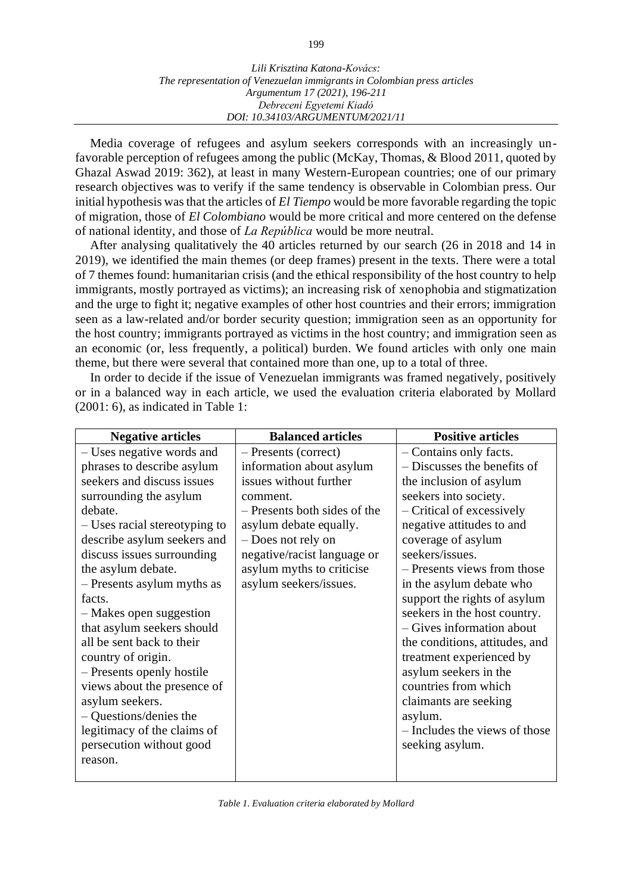Media coverage of refugees and asylum seekers corresponds with an increasingly unfavorable perception of refugees among the public (McKay, Thomas, & Blood 2011, quoted by Ghazal Aswad 2019: 362), at least in many Western-European countries; one of our primary research objectives was to verify if the same tendency is observable in Colombian press. Our initial hypothesis was that the articles of *El Tiempo* would be more favorable regarding the topic of migration, those of *El Colombiano* would be more critical and more centered on the defense of national identity, and those of *La República* would be more neutral.

After analysing qualitatively the 40 articles returned by our search (26 in 2018 and 14 in 2019), we identified the main themes (or deep frames) present in the texts. There were a total of 7 themes found: humanitarian crisis (and the ethical responsibility of the host country to help immigrants, mostly portrayed as victims); an increasing risk of xenophobia and stigmatization and the urge to fight it; negative examples of other host countries and their errors; immigration seen as a law-related and/or border security question; immigration seen as an opportunity for the host country; immigrants portrayed as victims in the host country; and immigration seen as an economic (or, less frequently, a political) burden. We found articles with only one main theme, but there were several that contained more than one, up to a total of three.

In order to decide if the issue of Venezuelan immigrants was framed negatively, positively or in a balanced way in each article, we used the evaluation criteria elaborated by Mollard (2001: 6), as indicated in Table 1:

| <b>Negative articles</b>      | <b>Balanced articles</b>     | <b>Positive articles</b>       |
|-------------------------------|------------------------------|--------------------------------|
| - Uses negative words and     | - Presents (correct)         | - Contains only facts.         |
| phrases to describe asylum    | information about asylum     | - Discusses the benefits of    |
| seekers and discuss issues    | issues without further       | the inclusion of asylum        |
| surrounding the asylum        | comment.                     | seekers into society.          |
| debate.                       | - Presents both sides of the | - Critical of excessively      |
| – Uses racial stereotyping to | asylum debate equally.       | negative attitudes to and      |
| describe asylum seekers and   | - Does not rely on           | coverage of asylum             |
| discuss issues surrounding    | negative/racist language or  | seekers/issues.                |
| the asylum debate.            | asylum myths to criticise    | - Presents views from those    |
| - Presents asylum myths as    | asylum seekers/issues.       | in the asylum debate who       |
| facts.                        |                              | support the rights of asylum   |
| - Makes open suggestion       |                              | seekers in the host country.   |
| that asylum seekers should    |                              | - Gives information about      |
| all be sent back to their     |                              | the conditions, attitudes, and |
| country of origin.            |                              | treatment experienced by       |
| - Presents openly hostile     |                              | asylum seekers in the          |
| views about the presence of   |                              | countries from which           |
| asylum seekers.               |                              | claimants are seeking          |
| - Questions/denies the        |                              | asylum.                        |
| legitimacy of the claims of   |                              | - Includes the views of those  |
| persecution without good      |                              | seeking asylum.                |
| reason.                       |                              |                                |
|                               |                              |                                |

*Table 1. Evaluation criteria elaborated by Mollard*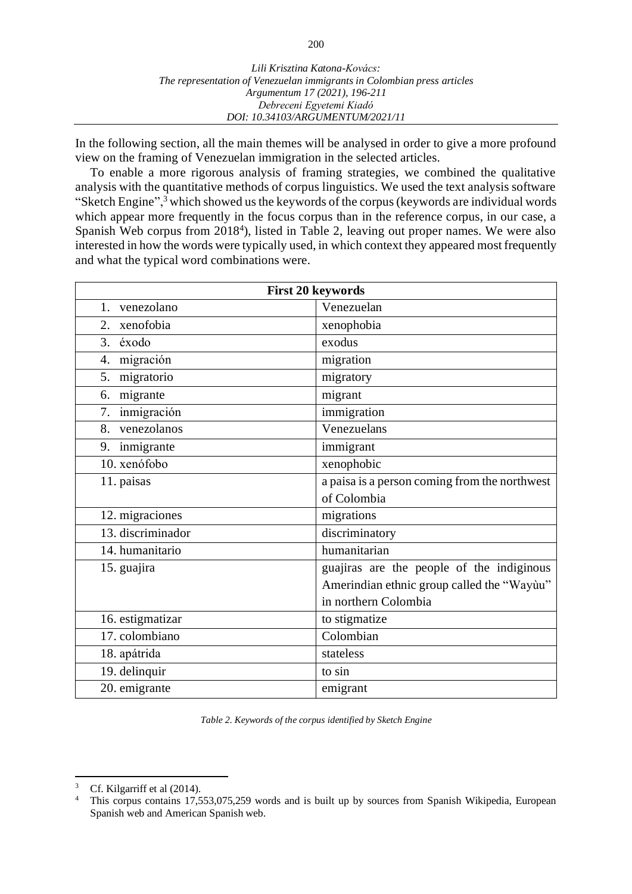In the following section, all the main themes will be analysed in order to give a more profound view on the framing of Venezuelan immigration in the selected articles.

To enable a more rigorous analysis of framing strategies, we combined the qualitative analysis with the quantitative methods of corpus linguistics. We used the text analysis software "Sketch Engine",<sup>3</sup> which showed us the keywords of the corpus (keywords are individual words which appear more frequently in the focus corpus than in the reference corpus, in our case, a Spanish Web corpus from 2018<sup>4</sup>), listed in Table 2, leaving out proper names. We were also interested in how the words were typically used, in which context they appeared most frequently and what the typical word combinations were.

| First 20 keywords |                                               |  |
|-------------------|-----------------------------------------------|--|
| venezolano<br>1.  | Venezuelan                                    |  |
| xenofobia<br>2.   | xenophobia                                    |  |
| éxodo<br>3.       | exodus                                        |  |
| migración<br>4.   | migration                                     |  |
| migratorio<br>5.  | migratory                                     |  |
| migrante<br>6.    | migrant                                       |  |
| inmigración<br>7. | immigration                                   |  |
| venezolanos<br>8. | Venezuelans                                   |  |
| 9. inmigrante     | immigrant                                     |  |
| 10. xenófobo      | xenophobic                                    |  |
| 11. paisas        | a paisa is a person coming from the northwest |  |
|                   | of Colombia                                   |  |
| 12. migraciones   | migrations                                    |  |
| 13. discriminador | discriminatory                                |  |
| 14. humanitario   | humanitarian                                  |  |
| 15. guajira       | guajiras are the people of the indiginous     |  |
|                   | Amerindian ethnic group called the "Wayùu"    |  |
|                   | in northern Colombia                          |  |
| 16. estigmatizar  | to stigmatize                                 |  |
| 17. colombiano    | Colombian                                     |  |
| 18. apátrida      | stateless                                     |  |
| 19. delinquir     | to sin                                        |  |
| 20. emigrante     | emigrant                                      |  |

*Table 2. Keywords of the corpus identified by Sketch Engine*

<sup>&</sup>lt;sup>3</sup> Cf. Kilgarriff et al  $(2014)$ .<br><sup>4</sup> This corpus contains 17.5

This corpus contains 17,553,075,259 words and is built up by sources from Spanish Wikipedia, European Spanish web and American Spanish web.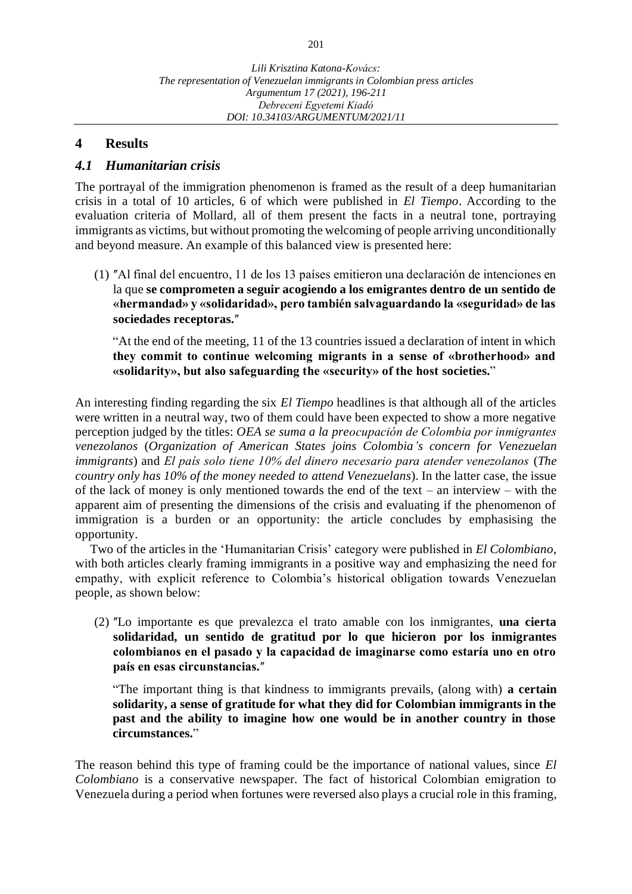## **4 Results**

## *4.1 Humanitarian crisis*

The portrayal of the immigration phenomenon is framed as the result of a deep humanitarian crisis in a total of 10 articles, 6 of which were published in *El Tiempo*. According to the evaluation criteria of Mollard, all of them present the facts in a neutral tone, portraying immigrants as victims, but without promoting the welcoming of people arriving unconditionally and beyond measure. An example of this balanced view is presented here:

(1) ʺAl final del encuentro, 11 de los 13 países emitieron una declaración de intenciones en la que **se comprometen a seguir acogiendo a los emigrantes dentro de un sentido de «hermandad» y «solidaridad», pero también salvaguardando la «seguridad» de las**  sociedades receptoras."

"At the end of the meeting, 11 of the 13 countries issued a declaration of intent in which **they commit to continue welcoming migrants in a sense of «brotherhood» and «solidarity», but also safeguarding the «security» of the host societies.**"

An interesting finding regarding the six *El Tiempo* headlines is that although all of the articles were written in a neutral way, two of them could have been expected to show a more negative perception judged by the titles: *OEA se suma a la preocupación de Colombia por inmigrantes venezolanos* (*Organization of American States joins Colombia's concern for Venezuelan immigrants*) and *El país solo tiene 10% del dinero necesario para atender venezolanos* (*The country only has 10% of the money needed to attend Venezuelans*). In the latter case, the issue of the lack of money is only mentioned towards the end of the text – an interview – with the apparent aim of presenting the dimensions of the crisis and evaluating if the phenomenon of immigration is a burden or an opportunity: the article concludes by emphasising the opportunity.

Two of the articles in the ʻHumanitarian Crisis' category were published in *El Colombiano*, with both articles clearly framing immigrants in a positive way and emphasizing the need for empathy, with explicit reference to Colombia's historical obligation towards Venezuelan people, as shown below:

(2) ʺLo importante es que prevalezca el trato amable con los inmigrantes, **una cierta solidaridad, un sentido de gratitud por lo que hicieron por los inmigrantes colombianos en el pasado y la capacidad de imaginarse como estaría uno en otro**  país en esas circunstancias."

"The important thing is that kindness to immigrants prevails, (along with) **a certain solidarity, a sense of gratitude for what they did for Colombian immigrants in the past and the ability to imagine how one would be in another country in those circumstances.**"

The reason behind this type of framing could be the importance of national values, since *El Colombiano* is a conservative newspaper. The fact of historical Colombian emigration to Venezuela during a period when fortunes were reversed also plays a crucial role in this framing,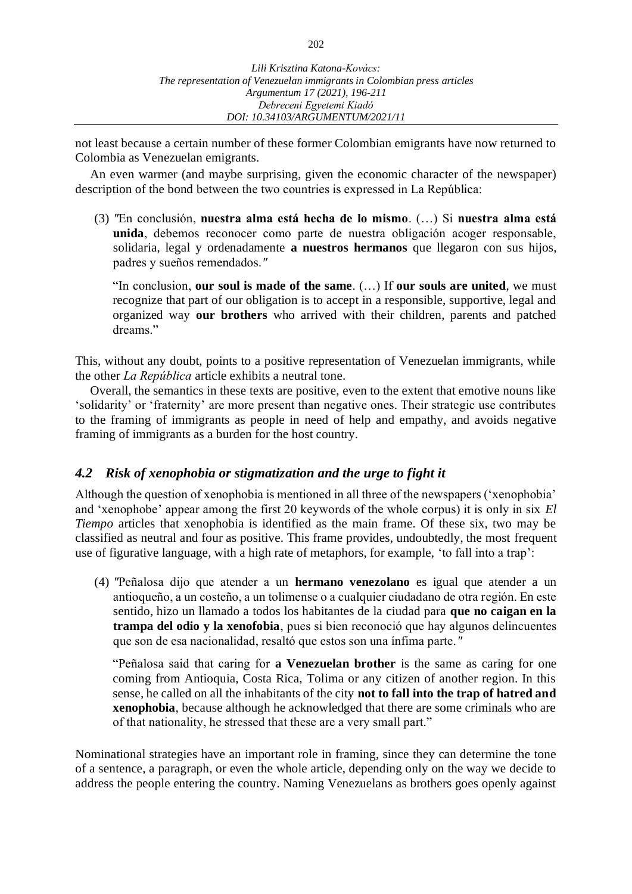not least because a certain number of these former Colombian emigrants have now returned to Colombia as Venezuelan emigrants.

An even warmer (and maybe surprising, given the economic character of the newspaper) description of the bond between the two countries is expressed in La República:

(3) *ʺ*En conclusión, **nuestra alma está hecha de lo mismo**. (…) Si **nuestra alma está unida**, debemos reconocer como parte de nuestra obligación acoger responsable, solidaria, legal y ordenadamente **a nuestros hermanos** que llegaron con sus hijos, padres y sueños remendados.*ʺ*

"In conclusion, **our soul is made of the same**. (…) If **our souls are united**, we must recognize that part of our obligation is to accept in a responsible, supportive, legal and organized way **our brothers** who arrived with their children, parents and patched dreams."

This, without any doubt, points to a positive representation of Venezuelan immigrants, while the other *La República* article exhibits a neutral tone.

Overall, the semantics in these texts are positive, even to the extent that emotive nouns like ʻsolidarity' or ʻfraternity' are more present than negative ones. Their strategic use contributes to the framing of immigrants as people in need of help and empathy, and avoids negative framing of immigrants as a burden for the host country.

## *4.2 Risk of xenophobia or stigmatization and the urge to fight it*

Although the question of xenophobia is mentioned in all three of the newspapers (ʻxenophobia' and ʻxenophobe' appear among the first 20 keywords of the whole corpus) it is only in six *El Tiempo* articles that xenophobia is identified as the main frame. Of these six, two may be classified as neutral and four as positive. This frame provides, undoubtedly, the most frequent use of figurative language, with a high rate of metaphors, for example, ʻto fall into a trap':

(4) *ʺ*Peñalosa dijo que atender a un **hermano venezolano** es igual que atender a un antioqueño, a un costeño, a un tolimense o a cualquier ciudadano de otra región. En este sentido, hizo un llamado a todos los habitantes de la ciudad para **que no caigan en la trampa del odio y la xenofobia**, pues si bien reconoció que hay algunos delincuentes que son de esa nacionalidad, resaltó que estos son una ínfima parte.*ʺ*

"Peñalosa said that caring for **a Venezuelan brother** is the same as caring for one coming from Antioquia, Costa Rica, Tolima or any citizen of another region. In this sense, he called on all the inhabitants of the city **not to fall into the trap of hatred and xenophobia**, because although he acknowledged that there are some criminals who are of that nationality, he stressed that these are a very small part."

Nominational strategies have an important role in framing, since they can determine the tone of a sentence, a paragraph, or even the whole article, depending only on the way we decide to address the people entering the country. Naming Venezuelans as brothers goes openly against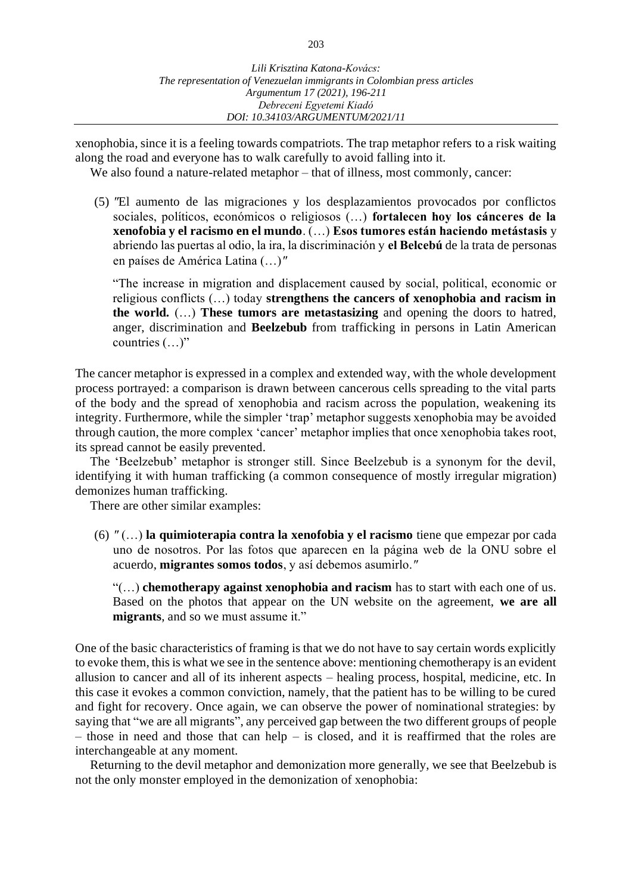xenophobia, since it is a feeling towards compatriots. The trap metaphor refers to a risk waiting along the road and everyone has to walk carefully to avoid falling into it.

We also found a nature-related metaphor – that of illness, most commonly, cancer:

(5) *ʺ*El aumento de las migraciones y los desplazamientos provocados por conflictos sociales, políticos, económicos o religiosos (…) **fortalecen hoy los cánceres de la xenofobia y el racismo en el mundo**. (…) **Esos tumores están haciendo metástasis** y abriendo las puertas al odio, la ira, la discriminación y **el Belcebú** de la trata de personas en países de América Latina (…)*ʺ*

"The increase in migration and displacement caused by social, political, economic or religious conflicts (…) today **strengthens the cancers of xenophobia and racism in the world.** (…) **These tumors are metastasizing** and opening the doors to hatred, anger, discrimination and **Beelzebub** from trafficking in persons in Latin American countries (…)"

The cancer metaphor is expressed in a complex and extended way, with the whole development process portrayed: a comparison is drawn between cancerous cells spreading to the vital parts of the body and the spread of xenophobia and racism across the population, weakening its integrity. Furthermore, while the simpler ʻtrap' metaphor suggests xenophobia may be avoided through caution, the more complex ʻcancer' metaphor implies that once xenophobia takes root, its spread cannot be easily prevented.

The ʻBeelzebub' metaphor is stronger still. Since Beelzebub is a synonym for the devil, identifying it with human trafficking (a common consequence of mostly irregular migration) demonizes human trafficking.

There are other similar examples:

(6) *ʺ* (…) **la quimioterapia contra la xenofobia y el racismo** tiene que empezar por cada uno de nosotros. Por las fotos que aparecen en la página web de la ONU sobre el acuerdo, **migrantes somos todos**, y así debemos asumirlo.*ʺ*

"(…) **chemotherapy against xenophobia and racism** has to start with each one of us. Based on the photos that appear on the UN website on the agreement, **we are all migrants**, and so we must assume it."

One of the basic characteristics of framing is that we do not have to say certain words explicitly to evoke them, this is what we see in the sentence above: mentioning chemotherapy is an evident allusion to cancer and all of its inherent aspects – healing process, hospital, medicine, etc. In this case it evokes a common conviction, namely, that the patient has to be willing to be cured and fight for recovery. Once again, we can observe the power of nominational strategies: by saying that "we are all migrants", any perceived gap between the two different groups of people – those in need and those that can help – is closed, and it is reaffirmed that the roles are interchangeable at any moment.

Returning to the devil metaphor and demonization more generally, we see that Beelzebub is not the only monster employed in the demonization of xenophobia: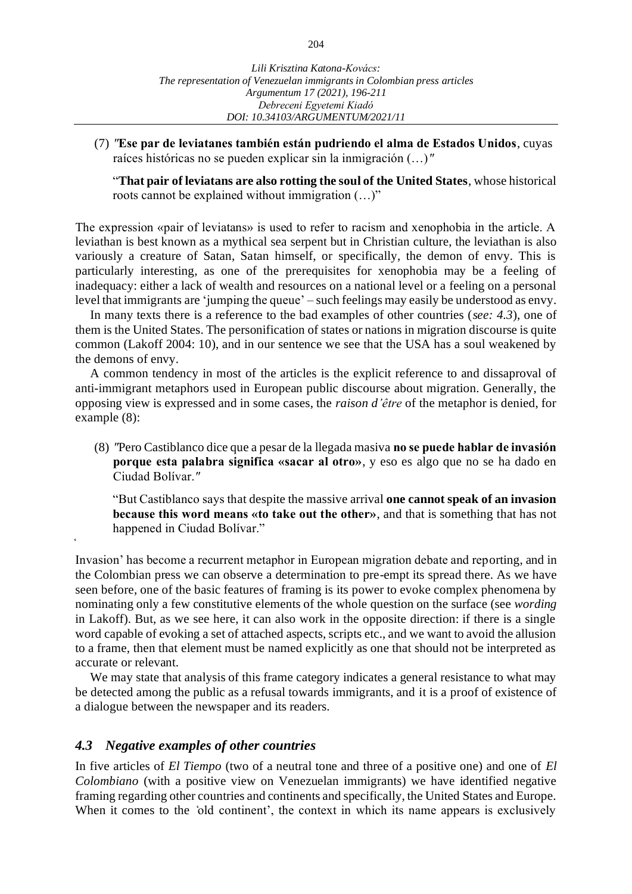(7) *ʺ***Ese par de leviatanes también están pudriendo el alma de Estados Unidos**, cuyas raíces históricas no se pueden explicar sin la inmigración (…)*ʺ*

"**That pair of leviatans are also rotting the soul of the United States**, whose historical roots cannot be explained without immigration (…)"

The expression «pair of leviatans» is used to refer to racism and xenophobia in the article. A leviathan is best known as a mythical sea serpent but in Christian culture, the leviathan is also variously a creature of Satan, Satan himself, or specifically, the demon of envy. This is particularly interesting, as one of the prerequisites for xenophobia may be a feeling of inadequacy: either a lack of wealth and resources on a national level or a feeling on a personal level that immigrants are ʻjumping the queue' – such feelings may easily be understood as envy.

In many texts there is a reference to the bad examples of other countries (*see: 4.3*), one of them is the United States. The personification of states or nations in migration discourse is quite common (Lakoff 2004: 10), and in our sentence we see that the USA has a soul weakened by the demons of envy.

A common tendency in most of the articles is the explicit reference to and dissaproval of anti-immigrant metaphors used in European public discourse about migration. Generally, the opposing view is expressed and in some cases, the *raison d'être* of the metaphor is denied, for example (8):

(8) *ʺ*Pero Castiblanco dice que a pesar de la llegada masiva **no se puede hablar de invasión porque esta palabra significa «sacar al otro»**, y eso es algo que no se ha dado en Ciudad Bolívar.*ʺ*

"But Castiblanco says that despite the massive arrival **one cannot speak of an invasion because this word means «to take out the other»**, and that is something that has not happened in Ciudad Bolívar."

Invasion' has become a recurrent metaphor in European migration debate and reporting, and in the Colombian press we can observe a determination to pre-empt its spread there. As we have seen before, one of the basic features of framing is its power to evoke complex phenomena by nominating only a few constitutive elements of the whole question on the surface (see *wording*  in Lakoff). But, as we see here, it can also work in the opposite direction: if there is a single word capable of evoking a set of attached aspects, scripts etc., and we want to avoid the allusion to a frame, then that element must be named explicitly as one that should not be interpreted as accurate or relevant.

We may state that analysis of this frame category indicates a general resistance to what may be detected among the public as a refusal towards immigrants, and it is a proof of existence of a dialogue between the newspaper and its readers.

## *4.3 Negative examples of other countries*

̒

In five articles of *El Tiempo* (two of a neutral tone and three of a positive one) and one of *El Colombiano* (with a positive view on Venezuelan immigrants) we have identified negative framing regarding other countries and continents and specifically, the United States and Europe. When it comes to the 'old continent', the context in which its name appears is exclusively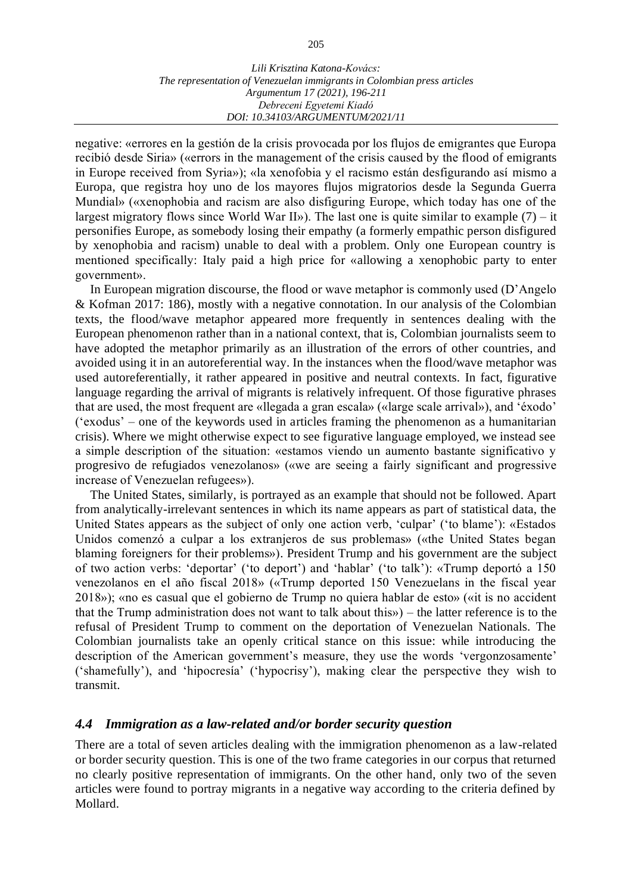negative: «errores en la gestión de la crisis provocada por los flujos de emigrantes que Europa recibió desde Siria» («errors in the management of the crisis caused by the flood of emigrants in Europe received from Syria»); «la xenofobia y el racismo están desfigurando así mismo a Europa, que registra hoy uno de los mayores flujos migratorios desde la Segunda Guerra Mundial» («xenophobia and racism are also disfiguring Europe, which today has one of the largest migratory flows since World War II»). The last one is quite similar to example  $(7)$  – it personifies Europe, as somebody losing their empathy (a formerly empathic person disfigured by xenophobia and racism) unable to deal with a problem. Only one European country is mentioned specifically: Italy paid a high price for «allowing a xenophobic party to enter government».

In European migration discourse, the flood or wave metaphor is commonly used (D'Angelo & Kofman 2017: 186), mostly with a negative connotation. In our analysis of the Colombian texts, the flood/wave metaphor appeared more frequently in sentences dealing with the European phenomenon rather than in a national context, that is, Colombian journalists seem to have adopted the metaphor primarily as an illustration of the errors of other countries, and avoided using it in an autoreferential way. In the instances when the flood/wave metaphor was used autoreferentially, it rather appeared in positive and neutral contexts. In fact, figurative language regarding the arrival of migrants is relatively infrequent. Of those figurative phrases that are used, the most frequent are «llegada a gran escala» («large scale arrival»), and ʻéxodo' (ʻexodus' – one of the keywords used in articles framing the phenomenon as a humanitarian crisis). Where we might otherwise expect to see figurative language employed, we instead see a simple description of the situation: «estamos viendo un aumento bastante significativo y progresivo de refugiados venezolanos» («we are seeing a fairly significant and progressive increase of Venezuelan refugees»).

The United States, similarly, is portrayed as an example that should not be followed. Apart from analytically-irrelevant sentences in which its name appears as part of statistical data, the United States appears as the subject of only one action verb, ʻculpar' (ʻto blame'): «Estados Unidos comenzó a culpar a los extranjeros de sus problemas» («the United States began blaming foreigners for their problems»). President Trump and his government are the subject of two action verbs: ʻdeportar' (ʻto deport') and ʻhablar' (ʻto talk'): «Trump deportó a 150 venezolanos en el año fiscal 2018» («Trump deported 150 Venezuelans in the fiscal year 2018»); «no es casual que el gobierno de Trump no quiera hablar de esto» («it is no accident that the Trump administration does not want to talk about this») – the latter reference is to the refusal of President Trump to comment on the deportation of Venezuelan Nationals. The Colombian journalists take an openly critical stance on this issue: while introducing the description of the American government's measure, they use the words ʻvergonzosamente' (ʻshamefully'), and ʻhipocresía' (ʻhypocrisy'), making clear the perspective they wish to transmit.

## *4.4 Immigration as a law-related and/or border security question*

There are a total of seven articles dealing with the immigration phenomenon as a law-related or border security question. This is one of the two frame categories in our corpus that returned no clearly positive representation of immigrants. On the other hand, only two of the seven articles were found to portray migrants in a negative way according to the criteria defined by Mollard.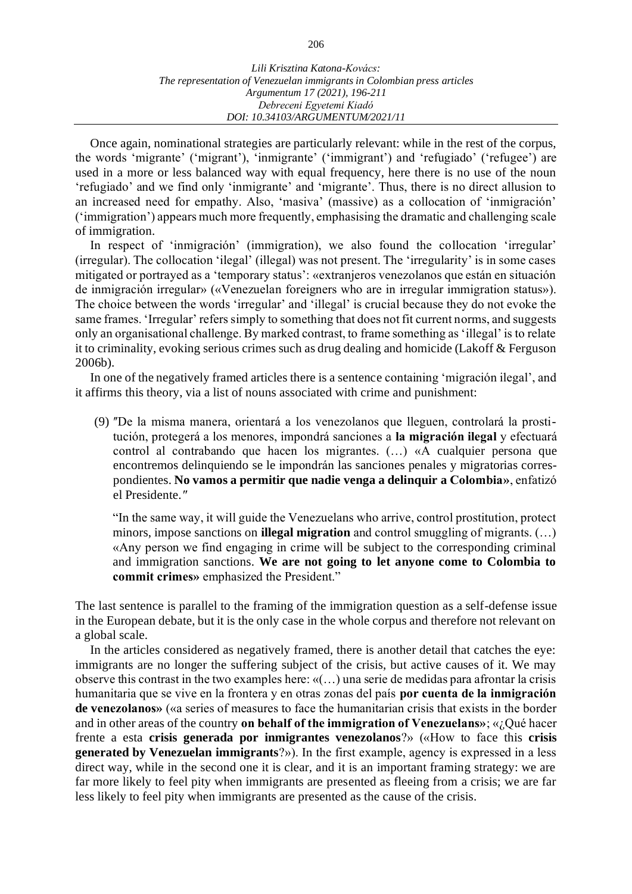Once again, nominational strategies are particularly relevant: while in the rest of the corpus, the words ʻmigrante' (ʻmigrant'), ʻinmigrante' (ʻimmigrant') and ʻrefugiado' (ʻrefugee') are used in a more or less balanced way with equal frequency, here there is no use of the noun ʻrefugiado' and we find only ʻinmigrante' and ʻmigrante'. Thus, there is no direct allusion to an increased need for empathy. Also, ʻmasiva' (massive) as a collocation of ʻinmigración' (ʻimmigration') appears much more frequently, emphasising the dramatic and challenging scale of immigration.

In respect of ʻinmigración' (immigration), we also found the collocation ʻirregular' (irregular). The collocation ʻilegal' (illegal) was not present. The ʻirregularity' is in some cases mitigated or portrayed as a ʻtemporary status': «extranjeros venezolanos que están en situación de inmigración irregular» («Venezuelan foreigners who are in irregular immigration status»). The choice between the words ʻirregular' and ʻillegal' is crucial because they do not evoke the same frames. ʻIrregular' refers simply to something that does not fit current norms, and suggests only an organisational challenge. By marked contrast, to frame something as ʻillegal' is to relate it to criminality, evoking serious crimes such as drug dealing and homicide (Lakoff & Ferguson 2006b).

In one of the negatively framed articles there is a sentence containing ʻmigración ilegal', and it affirms this theory, via a list of nouns associated with crime and punishment:

(9) ʺDe la misma manera, orientará a los venezolanos que lleguen, controlará la prostitución, protegerá a los menores, impondrá sanciones a **la migración ilegal** y efectuará control al contrabando que hacen los migrantes. (…) «A cualquier persona que encontremos delinquiendo se le impondrán las sanciones penales y migratorias correspondientes. **No vamos a permitir que nadie venga a delinquir a Colombia»**, enfatizó el Presidente.*ʺ*

"In the same way, it will guide the Venezuelans who arrive, control prostitution, protect minors, impose sanctions on **illegal migration** and control smuggling of migrants. (…) «Any person we find engaging in crime will be subject to the corresponding criminal and immigration sanctions. **We are not going to let anyone come to Colombia to commit crimes»** emphasized the President."

The last sentence is parallel to the framing of the immigration question as a self-defense issue in the European debate, but it is the only case in the whole corpus and therefore not relevant on a global scale.

In the articles considered as negatively framed, there is another detail that catches the eye: immigrants are no longer the suffering subject of the crisis, but active causes of it. We may observe this contrast in the two examples here: «(…) una serie de medidas para afrontar la crisis humanitaria que se vive en la frontera y en otras zonas del país **por cuenta de la inmigración de venezolanos»** («a series of measures to face the humanitarian crisis that exists in the border and in other areas of the country **on behalf of the immigration of Venezuelans»**; «¿Qué hacer frente a esta **crisis generada por inmigrantes venezolanos**?» («How to face this **crisis generated by Venezuelan immigrants**?»). In the first example, agency is expressed in a less direct way, while in the second one it is clear, and it is an important framing strategy: we are far more likely to feel pity when immigrants are presented as fleeing from a crisis; we are far less likely to feel pity when immigrants are presented as the cause of the crisis.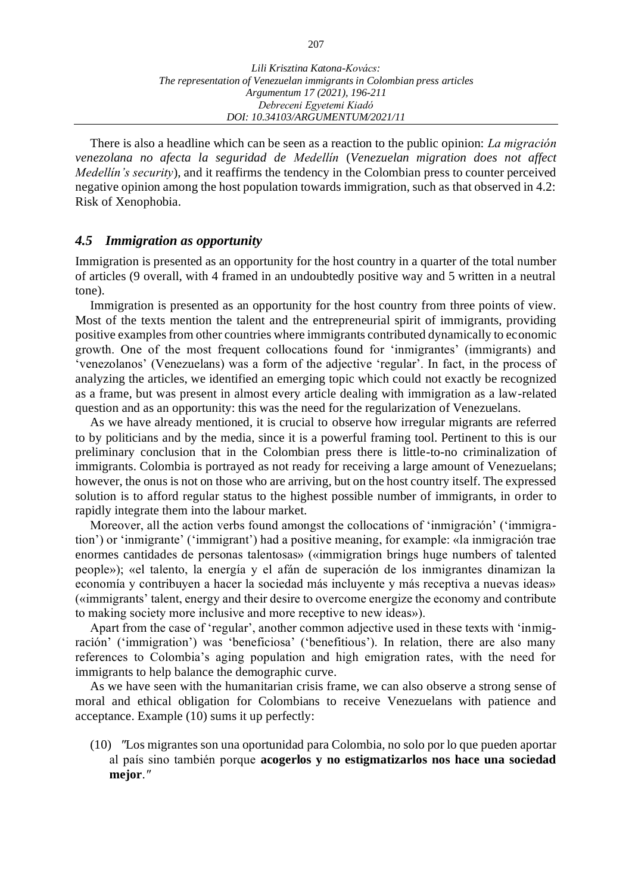There is also a headline which can be seen as a reaction to the public opinion: *La migración venezolana no afecta la seguridad de Medellín* (*Venezuelan migration does not affect Medellín's security*), and it reaffirms the tendency in the Colombian press to counter perceived negative opinion among the host population towards immigration, such as that observed in 4.2: Risk of Xenophobia.

## *4.5 Immigration as opportunity*

Immigration is presented as an opportunity for the host country in a quarter of the total number of articles (9 overall, with 4 framed in an undoubtedly positive way and 5 written in a neutral tone).

Immigration is presented as an opportunity for the host country from three points of view. Most of the texts mention the talent and the entrepreneurial spirit of immigrants, providing positive examples from other countries where immigrants contributed dynamically to economic growth. One of the most frequent collocations found for ʻinmigrantes' (immigrants) and ʻvenezolanos' (Venezuelans) was a form of the adjective ʻregular'. In fact, in the process of analyzing the articles, we identified an emerging topic which could not exactly be recognized as a frame, but was present in almost every article dealing with immigration as a law-related question and as an opportunity: this was the need for the regularization of Venezuelans.

As we have already mentioned, it is crucial to observe how irregular migrants are referred to by politicians and by the media, since it is a powerful framing tool. Pertinent to this is our preliminary conclusion that in the Colombian press there is little-to-no criminalization of immigrants. Colombia is portrayed as not ready for receiving a large amount of Venezuelans; however, the onus is not on those who are arriving, but on the host country itself. The expressed solution is to afford regular status to the highest possible number of immigrants, in order to rapidly integrate them into the labour market.

Moreover, all the action verbs found amongst the collocations of ʻinmigración' (ʻimmigration') or ʻinmigrante' (ʻimmigrant') had a positive meaning, for example: «la inmigración trae enormes cantidades de personas talentosas» («immigration brings huge numbers of talented people»); «el talento, la energía y el afán de superación de los inmigrantes dinamizan la economía y contribuyen a hacer la sociedad más incluyente y más receptiva a nuevas ideas» («immigrants' talent, energy and their desire to overcome energize the economy and contribute to making society more inclusive and more receptive to new ideas»).

Apart from the case of ʻregular', another common adjective used in these texts with ʻinmigración' (ʻimmigration') was ʻbeneficiosa' (ʻbenefitious'). In relation, there are also many references to Colombia's aging population and high emigration rates, with the need for immigrants to help balance the demographic curve.

As we have seen with the humanitarian crisis frame, we can also observe a strong sense of moral and ethical obligation for Colombians to receive Venezuelans with patience and acceptance. Example (10) sums it up perfectly:

(10) *ʺ*Los migrantes son una oportunidad para Colombia, no solo por lo que pueden aportar al país sino también porque **acogerlos y no estigmatizarlos nos hace una sociedad mejor**.*ʺ*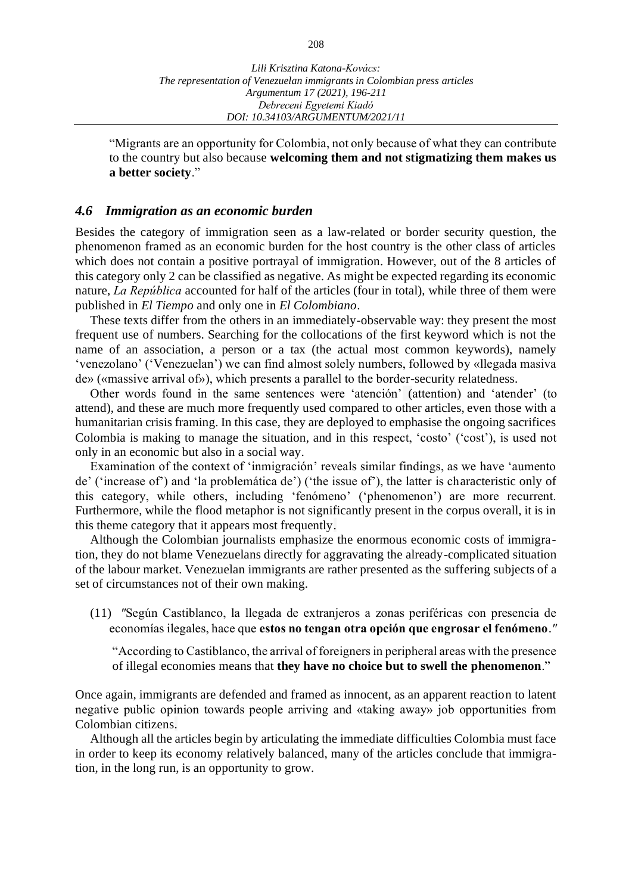"Migrants are an opportunity for Colombia, not only because of what they can contribute to the country but also because **welcoming them and not stigmatizing them makes us a better society**."

## *4.6 Immigration as an economic burden*

Besides the category of immigration seen as a law-related or border security question, the phenomenon framed as an economic burden for the host country is the other class of articles which does not contain a positive portrayal of immigration. However, out of the 8 articles of this category only 2 can be classified as negative. As might be expected regarding its economic nature, *La República* accounted for half of the articles (four in total), while three of them were published in *El Tiempo* and only one in *El Colombiano*.

These texts differ from the others in an immediately-observable way: they present the most frequent use of numbers. Searching for the collocations of the first keyword which is not the name of an association, a person or a tax (the actual most common keywords), namely ʻvenezolano' (ʻVenezuelan') we can find almost solely numbers, followed by «llegada masiva de» («massive arrival of»), which presents a parallel to the border-security relatedness.

Other words found in the same sentences were ʻatención' (attention) and ʻatender' (to attend), and these are much more frequently used compared to other articles, even those with a humanitarian crisis framing. In this case, they are deployed to emphasise the ongoing sacrifices Colombia is making to manage the situation, and in this respect, ʻcosto' (ʻcost'), is used not only in an economic but also in a social way.

Examination of the context of ʻinmigración' reveals similar findings, as we have ʻaumento de' (ʻincrease of') and ʻla problemática de') (ʻthe issue of'), the latter is characteristic only of this category, while others, including ʻfenómeno' (ʻphenomenon') are more recurrent. Furthermore, while the flood metaphor is not significantly present in the corpus overall, it is in this theme category that it appears most frequently.

Although the Colombian journalists emphasize the enormous economic costs of immigration, they do not blame Venezuelans directly for aggravating the already-complicated situation of the labour market. Venezuelan immigrants are rather presented as the suffering subjects of a set of circumstances not of their own making.

(11) *ʺ*Según Castiblanco, la llegada de extranjeros a zonas periféricas con presencia de economías ilegales, hace que **estos no tengan otra opción que engrosar el fenómeno**.*ʺ*

"According to Castiblanco, the arrival of foreigners in peripheral areas with the presence of illegal economies means that **they have no choice but to swell the phenomenon**."

Once again, immigrants are defended and framed as innocent, as an apparent reaction to latent negative public opinion towards people arriving and «taking away» job opportunities from Colombian citizens.

Although all the articles begin by articulating the immediate difficulties Colombia must face in order to keep its economy relatively balanced, many of the articles conclude that immigration, in the long run, is an opportunity to grow.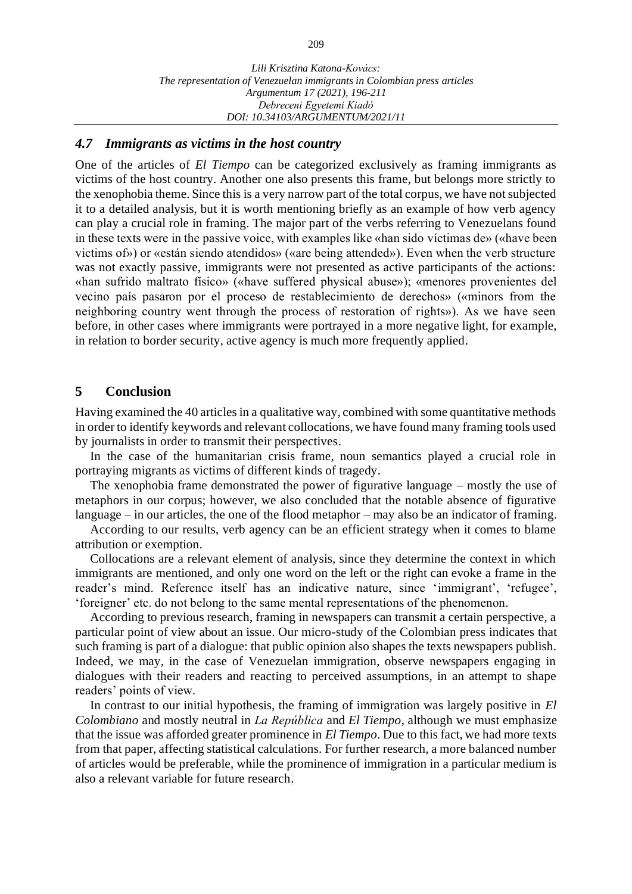#### *4.7 Immigrants as victims in the host country*

One of the articles of *El Tiempo* can be categorized exclusively as framing immigrants as victims of the host country. Another one also presents this frame, but belongs more strictly to the xenophobia theme. Since this is a very narrow part of the total corpus, we have not subjected it to a detailed analysis, but it is worth mentioning briefly as an example of how verb agency can play a crucial role in framing. The major part of the verbs referring to Venezuelans found in these texts were in the passive voice, with examples like «han sido víctimas de» («have been victims of») or «están siendo atendidos» («are being attended»). Even when the verb structure was not exactly passive, immigrants were not presented as active participants of the actions: «han sufrido maltrato físico» («have suffered physical abuse»); «menores provenientes del vecino país pasaron por el proceso de restablecimiento de derechos» («minors from the neighboring country went through the process of restoration of rights»). As we have seen before, in other cases where immigrants were portrayed in a more negative light, for example, in relation to border security, active agency is much more frequently applied.

## **5 Conclusion**

Having examined the 40 articles in a qualitative way, combined with some quantitative methods in order to identify keywords and relevant collocations, we have found many framing tools used by journalists in order to transmit their perspectives.

In the case of the humanitarian crisis frame, noun semantics played a crucial role in portraying migrants as victims of different kinds of tragedy.

The xenophobia frame demonstrated the power of figurative language – mostly the use of metaphors in our corpus; however, we also concluded that the notable absence of figurative language – in our articles, the one of the flood metaphor – may also be an indicator of framing.

According to our results, verb agency can be an efficient strategy when it comes to blame attribution or exemption.

Collocations are a relevant element of analysis, since they determine the context in which immigrants are mentioned, and only one word on the left or the right can evoke a frame in the reader's mind. Reference itself has an indicative nature, since ʻimmigrant', ʻrefugee', ʻforeigner' etc. do not belong to the same mental representations of the phenomenon.

According to previous research, framing in newspapers can transmit a certain perspective, a particular point of view about an issue. Our micro-study of the Colombian press indicates that such framing is part of a dialogue: that public opinion also shapes the texts newspapers publish. Indeed, we may, in the case of Venezuelan immigration, observe newspapers engaging in dialogues with their readers and reacting to perceived assumptions, in an attempt to shape readers' points of view.

In contrast to our initial hypothesis, the framing of immigration was largely positive in *El Colombiano* and mostly neutral in *La República* and *El Tiempo*, although we must emphasize that the issue was afforded greater prominence in *El Tiempo*. Due to this fact, we had more texts from that paper, affecting statistical calculations. For further research, a more balanced number of articles would be preferable, while the prominence of immigration in a particular medium is also a relevant variable for future research.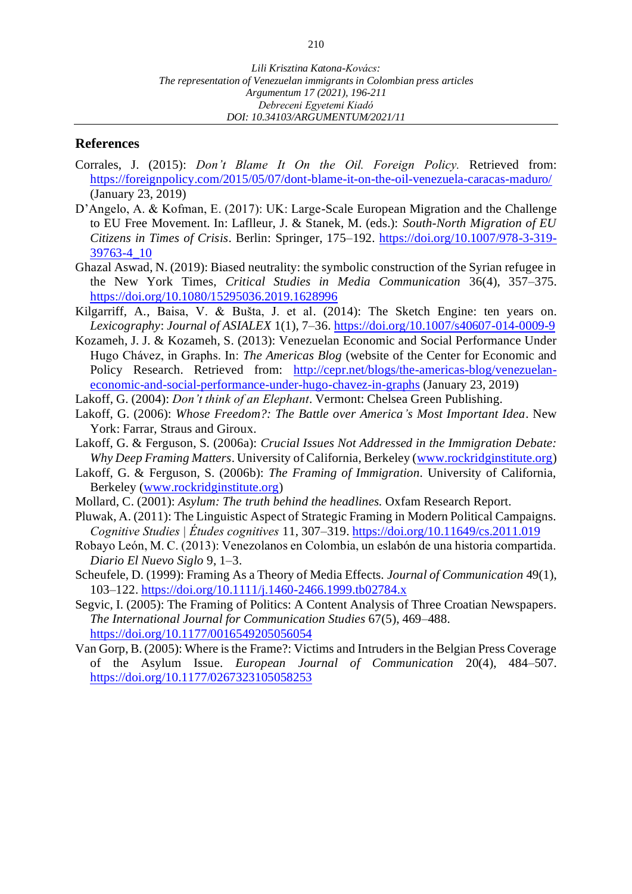## **References**

- Corrales, J. (2015): *Don't Blame It On the Oil. Foreign Policy.* Retrieved from: <https://foreignpolicy.com/2015/05/07/dont-blame-it-on-the-oil-venezuela-caracas-maduro/> (January 23, 2019)
- D'Angelo, A. & Kofman, E. (2017): UK: Large-Scale European Migration and the Challenge to EU Free Movement. In: Laflleur, J. & Stanek, M. (eds.): *South-North Migration of EU Citizens in Times of Crisis*. Berlin: Springer, 175–192. [https://doi.org/10.1007/978-3-319-](https://doi.org/10.1007/978-3-319-39763-4_10) [39763-4\\_10](https://doi.org/10.1007/978-3-319-39763-4_10)
- Ghazal Aswad, N. (2019): Biased neutrality: the symbolic construction of the Syrian refugee in the New York Times, *Critical Studies in Media Communication* 36(4), 357–375. <https://doi.org/10.1080/15295036.2019.1628996>
- Kilgarriff, A., Baisa, V. & Bušta, J. et al. (2014): The Sketch Engine: ten years on. *Lexicography*: *Journal of ASIALEX* 1(1), 7–36.<https://doi.org/10.1007/s40607-014-0009-9>
- Kozameh, J. J. & Kozameh, S. (2013): Venezuelan Economic and Social Performance Under Hugo Chávez, in Graphs. In: *The Americas Blog* (website of the Center for Economic and Policy Research. Retrieved from: [http://cepr.net/blogs/the-americas-blog/venezuelan](http://cepr.net/blogs/the-americas-blog/venezuelan-economic-and-social-performance-under-hugo-chavez-in-graphs)[economic-and-social-performance-under-hugo-chavez-in-graphs](http://cepr.net/blogs/the-americas-blog/venezuelan-economic-and-social-performance-under-hugo-chavez-in-graphs) (January 23, 2019)
- Lakoff, G. (2004): *Don't think of an Elephant*. Vermont: Chelsea Green Publishing.
- Lakoff, G. (2006): *Whose Freedom?: The Battle over America's Most Important Idea*. New York: Farrar, Straus and Giroux.
- Lakoff, G. & Ferguson, S. (2006a): *Crucial Issues Not Addressed in the Immigration Debate: Why Deep Framing Matters*. University of California, Berkeley [\(www.rockridginstitute.org\)](http://www.rockridginstitute.org/)
- Lakoff, G. & Ferguson, S. (2006b): *The Framing of Immigration.* University of California, Berkeley [\(www.rockridginstitute.org\)](http://www.rockridginstitute.org/)
- Mollard, C. (2001): *Asylum: The truth behind the headlines.* Oxfam Research Report.
- Pluwak, A. (2011): The Linguistic Aspect of Strategic Framing in Modern Political Campaigns. *Cognitive Studies | Études cognitives* 11, 307–319.<https://doi.org/10.11649/cs.2011.019>
- Robayo León, M. C. (2013): Venezolanos en Colombia, un eslabón de una historia compartida. *Diario El Nuevo Siglo* 9, 1–3.
- Scheufele, D. (1999): Framing As a Theory of Media Effects. *Journal of Communication* 49(1), 103–122.<https://doi.org/10.1111/j.1460-2466.1999.tb02784.x>
- Segvic, I. (2005): The Framing of Politics: A Content Analysis of Three Croatian Newspapers. *The International Journal for Communication Studies* 67(5), 469–488. <https://doi.org/10.1177/0016549205056054>
- Van Gorp, B. (2005): Where is the Frame?: Victims and Intruders in the Belgian Press Coverage of the Asylum Issue. *European Journal of Communication* 20(4), 484–507. <https://doi.org/10.1177/0267323105058253>